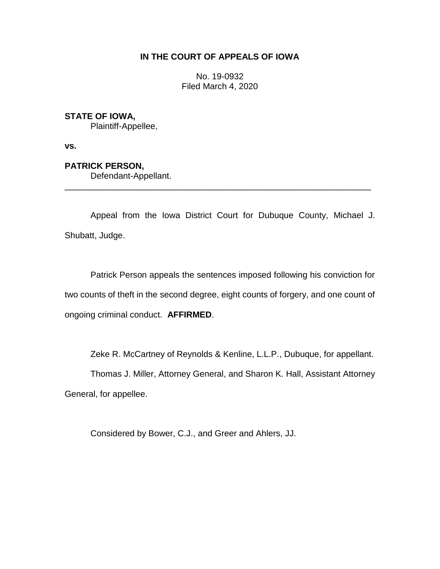# **IN THE COURT OF APPEALS OF IOWA**

No. 19-0932 Filed March 4, 2020

# **STATE OF IOWA,**

Plaintiff-Appellee,

**vs.**

# **PATRICK PERSON,**

Defendant-Appellant.

Appeal from the Iowa District Court for Dubuque County, Michael J. Shubatt, Judge.

\_\_\_\_\_\_\_\_\_\_\_\_\_\_\_\_\_\_\_\_\_\_\_\_\_\_\_\_\_\_\_\_\_\_\_\_\_\_\_\_\_\_\_\_\_\_\_\_\_\_\_\_\_\_\_\_\_\_\_\_\_\_\_\_

Patrick Person appeals the sentences imposed following his conviction for two counts of theft in the second degree, eight counts of forgery, and one count of ongoing criminal conduct. **AFFIRMED**.

Zeke R. McCartney of Reynolds & Kenline, L.L.P., Dubuque, for appellant.

Thomas J. Miller, Attorney General, and Sharon K. Hall, Assistant Attorney General, for appellee.

Considered by Bower, C.J., and Greer and Ahlers, JJ.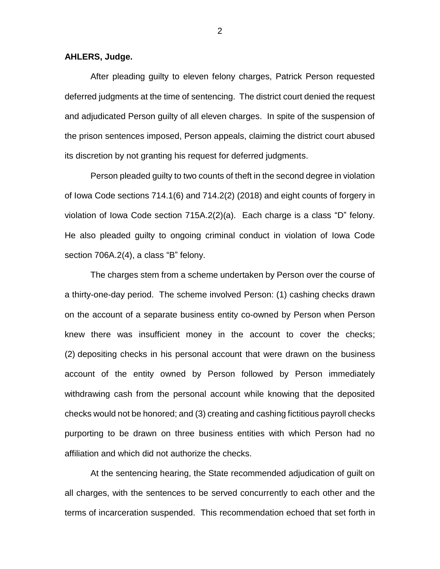#### **AHLERS, Judge.**

After pleading guilty to eleven felony charges, Patrick Person requested deferred judgments at the time of sentencing. The district court denied the request and adjudicated Person guilty of all eleven charges. In spite of the suspension of the prison sentences imposed, Person appeals, claiming the district court abused its discretion by not granting his request for deferred judgments.

Person pleaded guilty to two counts of theft in the second degree in violation of Iowa Code sections 714.1(6) and 714.2(2) (2018) and eight counts of forgery in violation of Iowa Code section 715A.2(2)(a). Each charge is a class "D" felony. He also pleaded guilty to ongoing criminal conduct in violation of Iowa Code section 706A.2(4), a class "B" felony.

The charges stem from a scheme undertaken by Person over the course of a thirty-one-day period. The scheme involved Person: (1) cashing checks drawn on the account of a separate business entity co-owned by Person when Person knew there was insufficient money in the account to cover the checks; (2) depositing checks in his personal account that were drawn on the business account of the entity owned by Person followed by Person immediately withdrawing cash from the personal account while knowing that the deposited checks would not be honored; and (3) creating and cashing fictitious payroll checks purporting to be drawn on three business entities with which Person had no affiliation and which did not authorize the checks.

At the sentencing hearing, the State recommended adjudication of guilt on all charges, with the sentences to be served concurrently to each other and the terms of incarceration suspended. This recommendation echoed that set forth in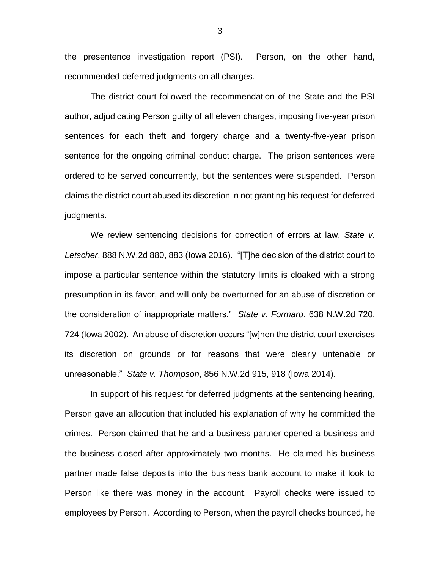the presentence investigation report (PSI). Person, on the other hand, recommended deferred judgments on all charges.

The district court followed the recommendation of the State and the PSI author, adjudicating Person guilty of all eleven charges, imposing five-year prison sentences for each theft and forgery charge and a twenty-five-year prison sentence for the ongoing criminal conduct charge. The prison sentences were ordered to be served concurrently, but the sentences were suspended. Person claims the district court abused its discretion in not granting his request for deferred judgments.

We review sentencing decisions for correction of errors at law. *State v. Letscher*, 888 N.W.2d 880, 883 (Iowa 2016). "[T]he decision of the district court to impose a particular sentence within the statutory limits is cloaked with a strong presumption in its favor, and will only be overturned for an abuse of discretion or the consideration of inappropriate matters." *State v. Formaro*, 638 N.W.2d 720, 724 (Iowa 2002). An abuse of discretion occurs "[w]hen the district court exercises its discretion on grounds or for reasons that were clearly untenable or unreasonable." *State v. Thompson*, 856 N.W.2d 915, 918 (Iowa 2014).

In support of his request for deferred judgments at the sentencing hearing, Person gave an allocution that included his explanation of why he committed the crimes. Person claimed that he and a business partner opened a business and the business closed after approximately two months. He claimed his business partner made false deposits into the business bank account to make it look to Person like there was money in the account. Payroll checks were issued to employees by Person. According to Person, when the payroll checks bounced, he

3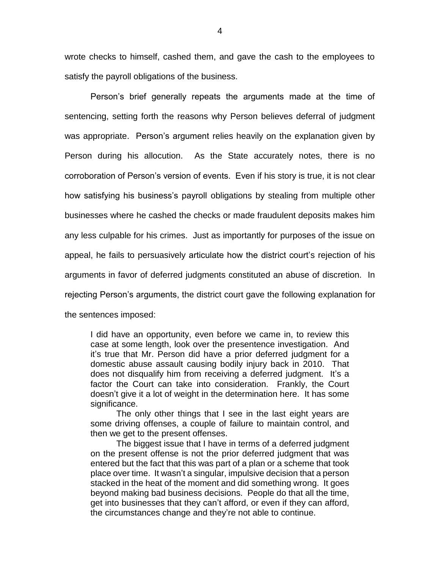wrote checks to himself, cashed them, and gave the cash to the employees to satisfy the payroll obligations of the business.

Person's brief generally repeats the arguments made at the time of sentencing, setting forth the reasons why Person believes deferral of judgment was appropriate. Person's argument relies heavily on the explanation given by Person during his allocution. As the State accurately notes, there is no corroboration of Person's version of events. Even if his story is true, it is not clear how satisfying his business's payroll obligations by stealing from multiple other businesses where he cashed the checks or made fraudulent deposits makes him any less culpable for his crimes. Just as importantly for purposes of the issue on appeal, he fails to persuasively articulate how the district court's rejection of his arguments in favor of deferred judgments constituted an abuse of discretion. In rejecting Person's arguments, the district court gave the following explanation for the sentences imposed:

I did have an opportunity, even before we came in, to review this case at some length, look over the presentence investigation. And it's true that Mr. Person did have a prior deferred judgment for a domestic abuse assault causing bodily injury back in 2010. That does not disqualify him from receiving a deferred judgment. It's a factor the Court can take into consideration. Frankly, the Court doesn't give it a lot of weight in the determination here. It has some significance.

The only other things that I see in the last eight years are some driving offenses, a couple of failure to maintain control, and then we get to the present offenses.

The biggest issue that I have in terms of a deferred judgment on the present offense is not the prior deferred judgment that was entered but the fact that this was part of a plan or a scheme that took place over time. It wasn't a singular, impulsive decision that a person stacked in the heat of the moment and did something wrong. It goes beyond making bad business decisions. People do that all the time, get into businesses that they can't afford, or even if they can afford, the circumstances change and they're not able to continue.